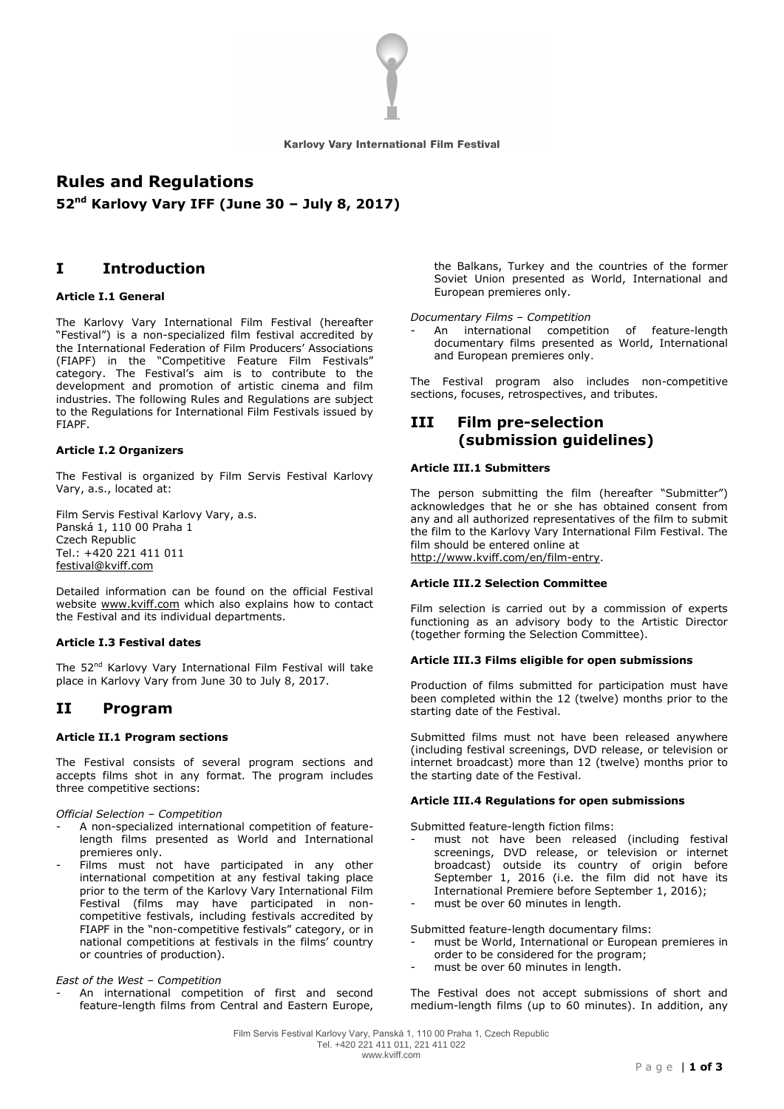

# **Rules and Regulations**

**52 nd Karlovy Vary IFF (June 30 – July 8, 2017)**

# **I Introduction**

# **Article I.1 General**

The Karlovy Vary International Film Festival (hereafter "Festival") is a non-specialized film festival accredited by the International Federation of Film Producers' Associations (FIAPF) in the "Competitive Feature Film Festivals" category. The Festival's aim is to contribute to the development and promotion of artistic cinema and film industries. The following Rules and Regulations are subject to the Regulations for International Film Festivals issued by FIAPF.

## **Article I.2 Organizers**

The Festival is organized by Film Servis Festival Karlovy Vary, a.s., located at:

Film Servis Festival Karlovy Vary, a.s. Panská 1, 110 00 Praha 1 Czech Republic Tel.: +420 221 411 011 [festival@kviff.com](mailto:festival@kviff.com)

Detailed information can be found on the official Festival website [www.kviff.com](http://www.kviff.com/) which also explains how to contact the Festival and its individual departments.

### **Article I.3 Festival dates**

The 52nd Karlovy Vary International Film Festival will take place in Karlovy Vary from June 30 to July 8, 2017.

# **II Program**

### **Article II.1 Program sections**

The Festival consists of several program sections and accepts films shot in any format. The program includes three competitive sections:

## *Official Selection – Competition*

- A non-specialized international competition of featurelength films presented as World and International premieres only.
- Films must not have participated in any other international competition at any festival taking place prior to the term of the Karlovy Vary International Film Festival (films may have participated in noncompetitive festivals, including festivals accredited by FIAPF in the "non-competitive festivals" category, or in national competitions at festivals in the films' country or countries of production).

*East of the West – Competition*

An international competition of first and second feature-length films from Central and Eastern Europe, the Balkans, Turkey and the countries of the former Soviet Union presented as World, International and European premieres only.

#### *Documentary Films – Competition*

An international competition of feature-length documentary films presented as World, International and European premieres only.

The Festival program also includes non-competitive sections, focuses, retrospectives, and tributes.

# **III Film pre-selection (submission guidelines)**

# **Article III.1 Submitters**

The person submitting the film (hereafter "Submitter") acknowledges that he or she has obtained consent from any and all authorized representatives of the film to submit the film to the Karlovy Vary International Film Festival. The film should be entered online at [http://www.kviff.com/en/film-entry.](http://www.kviff.com/en/film-entry)

#### **Article III.2 Selection Committee**

Film selection is carried out by a commission of experts functioning as an advisory body to the Artistic Director (together forming the Selection Committee).

### **Article III.3 Films eligible for open submissions**

Production of films submitted for participation must have been completed within the 12 (twelve) months prior to the starting date of the Festival.

Submitted films must not have been released anywhere (including festival screenings, DVD release, or television or internet broadcast) more than 12 (twelve) months prior to the starting date of the Festival.

## **Article III.4 Regulations for open submissions**

Submitted feature-length fiction films:

- must not have been released (including festival screenings, DVD release, or television or internet broadcast) outside its country of origin before September 1, 2016 (i.e. the film did not have its International Premiere before September 1, 2016);
- must be over 60 minutes in length.

Submitted feature-length documentary films:

- must be World, International or European premieres in order to be considered for the program;
- must be over 60 minutes in length.

The Festival does not accept submissions of short and medium-length films (up to 60 minutes). In addition, any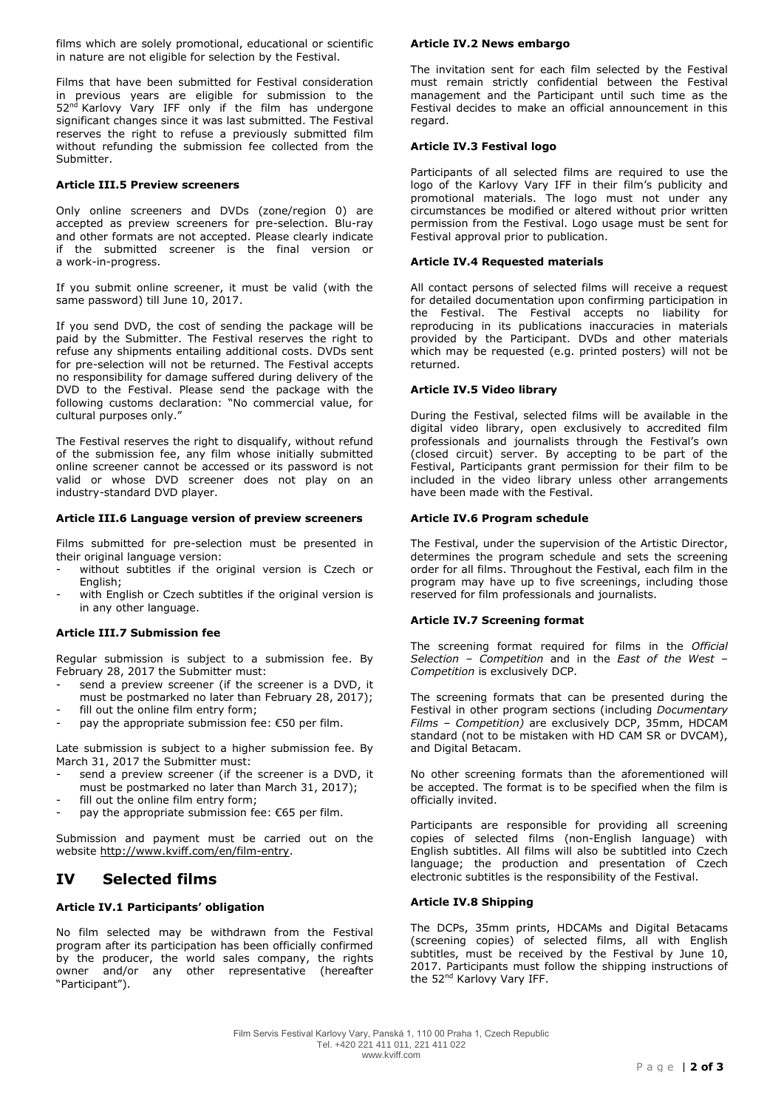films which are solely promotional, educational or scientific in nature are not eligible for selection by the Festival.

Films that have been submitted for Festival consideration in previous years are eligible for submission to the 52<sup>nd</sup> Karlovy Vary IFF only if the film has undergone significant changes since it was last submitted. The Festival reserves the right to refuse a previously submitted film without refunding the submission fee collected from the Submitter.

## **Article III.5 Preview screeners**

Only online screeners and DVDs (zone/region 0) are accepted as preview screeners for pre-selection. Blu-ray and other formats are not accepted. Please clearly indicate if the submitted screener is the final version or a work-in-progress.

If you submit online screener, it must be valid (with the same password) till June 10, 2017.

If you send DVD, the cost of sending the package will be paid by the Submitter. The Festival reserves the right to refuse any shipments entailing additional costs. DVDs sent for pre-selection will not be returned. The Festival accepts no responsibility for damage suffered during delivery of the DVD to the Festival. Please send the package with the following customs declaration: "No commercial value, for cultural purposes only."

The Festival reserves the right to disqualify, without refund of the submission fee, any film whose initially submitted online screener cannot be accessed or its password is not valid or whose DVD screener does not play on an industry-standard DVD player.

## **Article III.6 Language version of preview screeners**

Films submitted for pre-selection must be presented in their original language version:

- without subtitles if the original version is Czech or English;
- with English or Czech subtitles if the original version is in any other language.

# **Article III.7 Submission fee**

Regular submission is subject to a submission fee. By February 28, 2017 the Submitter must:

- send a preview screener (if the screener is a DVD, it must be postmarked no later than February 28, 2017);
- fill out the online film entry form;
- pay the appropriate submission fee:  $€50$  per film.

Late submission is subject to a higher submission fee. By March 31, 2017 the Submitter must:

- send a preview screener (if the screener is a DVD, it must be postmarked no later than March 31, 2017);
- fill out the online film entry form;
- pay the appropriate submission fee:  $€65$  per film.

Submission and payment must be carried out on the website <http://www.kviff.com/en/film-entry>[.](http://www.kviff.com/en/about-festival/film-entry/)

# **IV Selected films**

# **Article IV.1 Participants' obligation**

No film selected may be withdrawn from the Festival program after its participation has been officially confirmed by the producer, the world sales company, the rights owner and/or any other representative (hereafter "Participant").

#### **Article IV.2 News embargo**

The invitation sent for each film selected by the Festival must remain strictly confidential between the Festival management and the Participant until such time as the Festival decides to make an official announcement in this regard.

## **Article IV.3 Festival logo**

Participants of all selected films are required to use the logo of the Karlovy Vary IFF in their film's publicity and promotional materials. The logo must not under any circumstances be modified or altered without prior written permission from the Festival. Logo usage must be sent for Festival approval prior to publication.

## **Article IV.4 Requested materials**

All contact persons of selected films will receive a request for detailed documentation upon confirming participation in the Festival. The Festival accepts no liability for reproducing in its publications inaccuracies in materials provided by the Participant. DVDs and other materials which may be requested (e.g. printed posters) will not be returned.

## **Article IV.5 Video library**

During the Festival, selected films will be available in the digital video library, open exclusively to accredited film professionals and journalists through the Festival's own (closed circuit) server. By accepting to be part of the Festival, Participants grant permission for their film to be included in the video library unless other arrangements have been made with the Festival.

## **Article IV.6 Program schedule**

The Festival, under the supervision of the Artistic Director, determines the program schedule and sets the screening order for all films. Throughout the Festival, each film in the program may have up to five screenings, including those reserved for film professionals and journalists.

#### **Article IV.7 Screening format**

The screening format required for films in the *Official Selection – Competition* and in the *East of the West – Competition* is exclusively DCP.

The screening formats that can be presented during the Festival in other program sections (including *Documentary Films – Competition)* are exclusively DCP, 35mm, HDCAM standard (not to be mistaken with HD CAM SR or DVCAM), and Digital Betacam.

No other screening formats than the aforementioned will be accepted. The format is to be specified when the film is officially invited.

Participants are responsible for providing all screening copies of selected films (non-English language) with English subtitles. All films will also be subtitled into Czech language; the production and presentation of Czech electronic subtitles is the responsibility of the Festival.

## **Article IV.8 Shipping**

The DCPs, 35mm prints, HDCAMs and Digital Betacams (screening copies) of selected films, all with English subtitles, must be received by the Festival by June 10, 2017. Participants must follow the shipping instructions of the 52<sup>nd</sup> Karlovy Vary IFF.